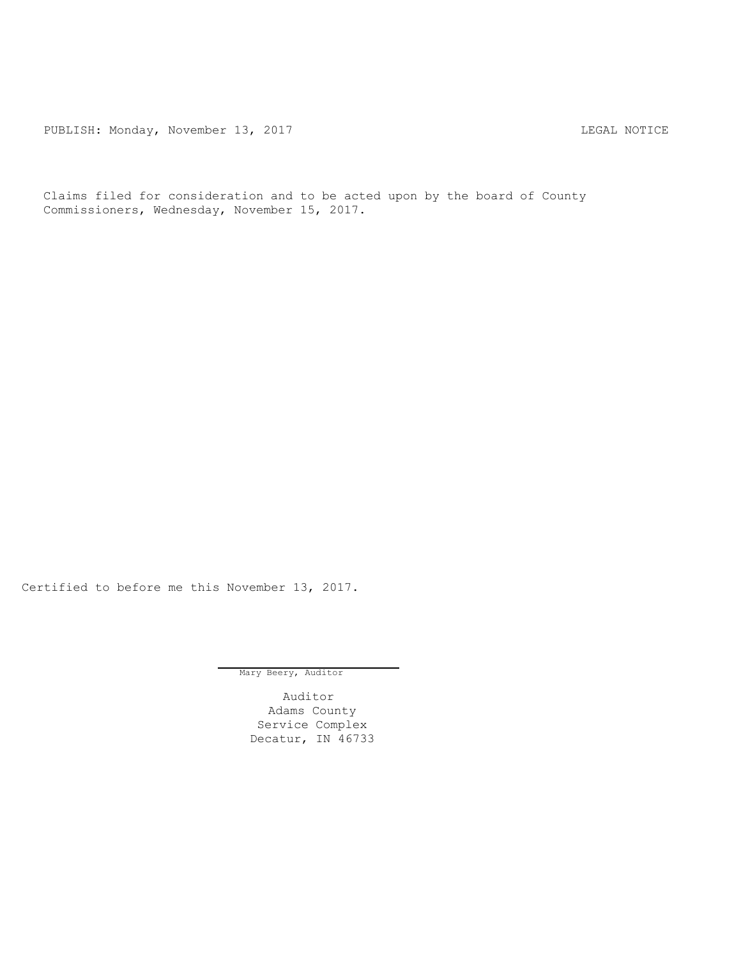PUBLISH: Monday, November 13, 2017 TUBLISH: MOTICE

Claims filed for consideration and to be acted upon by the board of County Commissioners, Wednesday, November 15, 2017.

Certified to before me this November 13, 2017.

Mary Beery, Auditor

Auditor Adams County Service Complex Decatur, IN 46733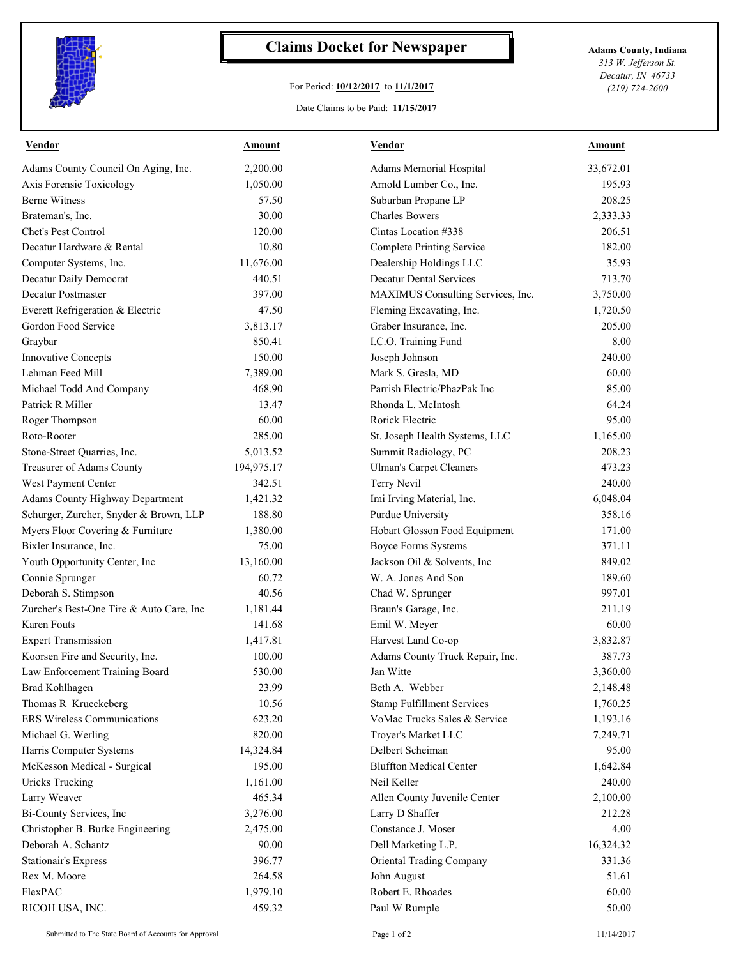

## **Claims Docket for Newspaper Adams County, Indiana**

## For Period: **10/12/2017** to **11/1/2017**

Date Claims to be Paid: **11/15/2017**

*313 W. Jefferson St. Decatur, IN 46733 (219) 724-2600*

| <b>Vendor</b>                            | <b>Amount</b> | <b>Vendor</b>                     | <b>Amount</b> |
|------------------------------------------|---------------|-----------------------------------|---------------|
| Adams County Council On Aging, Inc.      | 2,200.00      | Adams Memorial Hospital           | 33,672.01     |
| Axis Forensic Toxicology                 | 1,050.00      | Arnold Lumber Co., Inc.           | 195.93        |
| <b>Berne Witness</b>                     | 57.50         | Suburban Propane LP               | 208.25        |
| Brateman's, Inc.                         | 30.00         | <b>Charles Bowers</b>             | 2,333.33      |
| Chet's Pest Control                      | 120.00        | Cintas Location #338              | 206.51        |
| Decatur Hardware & Rental                | 10.80         | <b>Complete Printing Service</b>  | 182.00        |
| Computer Systems, Inc.                   | 11,676.00     | Dealership Holdings LLC           | 35.93         |
| Decatur Daily Democrat                   | 440.51        | <b>Decatur Dental Services</b>    | 713.70        |
| Decatur Postmaster                       | 397.00        | MAXIMUS Consulting Services, Inc. | 3,750.00      |
| Everett Refrigeration & Electric         | 47.50         | Fleming Excavating, Inc.          | 1,720.50      |
| Gordon Food Service                      | 3,813.17      | Graber Insurance, Inc.            | 205.00        |
| Graybar                                  | 850.41        | I.C.O. Training Fund              | 8.00          |
| Innovative Concepts                      | 150.00        | Joseph Johnson                    | 240.00        |
| Lehman Feed Mill                         | 7,389.00      | Mark S. Gresla, MD                | 60.00         |
| Michael Todd And Company                 | 468.90        | Parrish Electric/PhazPak Inc      | 85.00         |
| Patrick R Miller                         | 13.47         | Rhonda L. McIntosh                | 64.24         |
| Roger Thompson                           | 60.00         | Rorick Electric                   | 95.00         |
| Roto-Rooter                              | 285.00        | St. Joseph Health Systems, LLC    | 1,165.00      |
| Stone-Street Quarries, Inc.              | 5,013.52      | Summit Radiology, PC              | 208.23        |
| Treasurer of Adams County                | 194,975.17    | <b>Ulman's Carpet Cleaners</b>    | 473.23        |
| West Payment Center                      | 342.51        | Terry Nevil                       | 240.00        |
| Adams County Highway Department          | 1,421.32      | Imi Irving Material, Inc.         | 6,048.04      |
| Schurger, Zurcher, Snyder & Brown, LLP   | 188.80        | Purdue University                 | 358.16        |
| Myers Floor Covering & Furniture         | 1,380.00      | Hobart Glosson Food Equipment     | 171.00        |
| Bixler Insurance, Inc.                   | 75.00         | <b>Boyce Forms Systems</b>        | 371.11        |
| Youth Opportunity Center, Inc            | 13,160.00     | Jackson Oil & Solvents, Inc       | 849.02        |
| Connie Sprunger                          | 60.72         | W. A. Jones And Son               | 189.60        |
| Deborah S. Stimpson                      | 40.56         | Chad W. Sprunger                  | 997.01        |
| Zurcher's Best-One Tire & Auto Care, Inc | 1,181.44      | Braun's Garage, Inc.              | 211.19        |
| Karen Fouts                              | 141.68        | Emil W. Meyer                     | 60.00         |
| <b>Expert Transmission</b>               | 1,417.81      | Harvest Land Co-op                | 3,832.87      |
| Koorsen Fire and Security, Inc.          | 100.00        | Adams County Truck Repair, Inc.   | 387.73        |
| Law Enforcement Training Board           | 530.00        | Jan Witte                         | 3,360.00      |
| Brad Kohlhagen                           | 23.99         | Beth A. Webber                    | 2,148.48      |
| Thomas R Krueckeberg                     | 10.56         | <b>Stamp Fulfillment Services</b> | 1,760.25      |
| <b>ERS Wireless Communications</b>       | 623.20        | VoMac Trucks Sales & Service      | 1,193.16      |
| Michael G. Werling                       | 820.00        | Troyer's Market LLC               | 7,249.71      |
| Harris Computer Systems                  | 14,324.84     | Delbert Scheiman                  | 95.00         |
| McKesson Medical - Surgical              | 195.00        | <b>Bluffton Medical Center</b>    | 1,642.84      |
| <b>Uricks Trucking</b>                   | 1,161.00      | Neil Keller                       | 240.00        |
| Larry Weaver                             | 465.34        | Allen County Juvenile Center      | 2,100.00      |
| Bi-County Services, Inc                  | 3,276.00      | Larry D Shaffer                   | 212.28        |
| Christopher B. Burke Engineering         | 2,475.00      | Constance J. Moser                | 4.00          |
| Deborah A. Schantz                       | 90.00         | Dell Marketing L.P.               | 16,324.32     |
| <b>Stationair's Express</b>              | 396.77        | Oriental Trading Company          | 331.36        |
| Rex M. Moore                             | 264.58        | John August                       | 51.61         |
| FlexPAC                                  | 1,979.10      | Robert E. Rhoades                 | 60.00         |
| RICOH USA, INC.                          | 459.32        | Paul W Rumple                     | 50.00         |